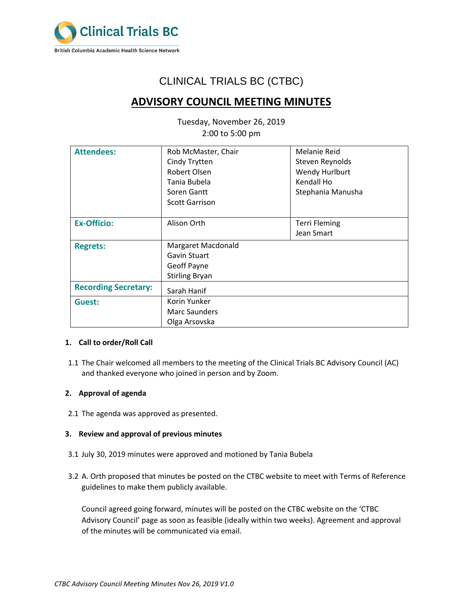

# CLINICAL TRIALS BC (CTBC)

# **ADVISORY COUNCIL MEETING MINUTES**

Tuesday, November 26, 2019 2:00 to 5:00 pm

| <b>Attendees:</b>           | Rob McMaster, Chair       | <b>Melanie Reid</b>  |
|-----------------------------|---------------------------|----------------------|
|                             | Cindy Trytten             | Steven Reynolds      |
|                             | Robert Olsen              | Wendy Hurlburt       |
|                             | Tania Bubela              | Kendall Ho           |
|                             | Soren Gantt               | Stephania Manusha    |
|                             | <b>Scott Garrison</b>     |                      |
|                             |                           |                      |
| <b>Ex-Officio:</b>          | Alison Orth               | <b>Terri Fleming</b> |
|                             |                           | Jean Smart           |
| <b>Regrets:</b>             | <b>Margaret Macdonald</b> |                      |
|                             | Gavin Stuart              |                      |
|                             | Geoff Payne               |                      |
|                             | <b>Stirling Bryan</b>     |                      |
| <b>Recording Secretary:</b> | Sarah Hanif               |                      |
| Guest:                      | Korin Yunker              |                      |
|                             | <b>Marc Saunders</b>      |                      |
|                             | Olga Arsovska             |                      |

# **1. Call to order/Roll Call**

1.1 The Chair welcomed all members to the meeting of the Clinical Trials BC Advisory Council (AC) and thanked everyone who joined in person and by Zoom.

# **2. Approval of agenda**

2.1 The agenda was approved as presented.

# **3. Review and approval of previous minutes**

- 3.1 July 30, 2019 minutes were approved and motioned by Tania Bubela
- 3.2 A. Orth proposed that minutes be posted on the CTBC website to meet with Terms of Reference guidelines to make them publicly available.

Council agreed going forward, minutes will be posted on the CTBC website on the 'CTBC Advisory Council' page as soon as feasible (ideally within two weeks). Agreement and approval of the minutes will be communicated via email.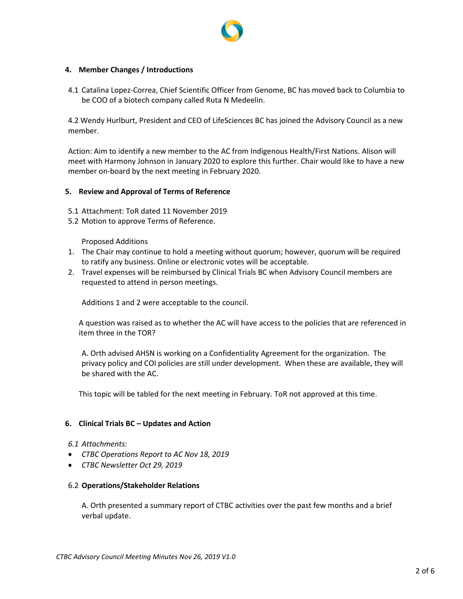

# **4. Member Changes / Introductions**

4.1 Catalina Lopez-Correa, Chief Scientific Officer from Genome, BC has moved back to Columbia to be COO of a biotech company called Ruta N Medeelin.

4.2 Wendy Hurlburt, President and CEO of LifeSciences BC has joined the Advisory Council as a new member.

Action: Aim to identify a new member to the AC from Indigenous Health/First Nations. Alison will meet with Harmony Johnson in January 2020 to explore this further. Chair would like to have a new member on-board by the next meeting in February 2020.

# **5. Review and Approval of Terms of Reference**

- 5.1 Attachment: ToR dated 11 November 2019
- 5.2 Motion to approve Terms of Reference.

Proposed Additions

- 1. The Chair may continue to hold a meeting without quorum; however, quorum will be required to ratify any business. Online or electronic votes will be acceptable.
- 2. Travel expenses will be reimbursed by Clinical Trials BC when Advisory Council members are requested to attend in person meetings.

Additions 1 and 2 were acceptable to the council.

A question was raised as to whether the AC will have access to the policies that are referenced in item three in the TOR?

A. Orth advised AHSN is working on a Confidentiality Agreement for the organization. The privacy policy and COI policies are still under development. When these are available, they will be shared with the AC.

This topic will be tabled for the next meeting in February. ToR not approved at this time.

### **6. Clinical Trials BC – Updates and Action**

- *6.1 Attachments:*
- *CTBC Operations Report to AC Nov 18, 2019*
- *CTBC Newsletter Oct 29, 2019*

#### 6.2 **Operations/Stakeholder Relations**

A. Orth presented a summary report of CTBC activities over the past few months and a brief verbal update.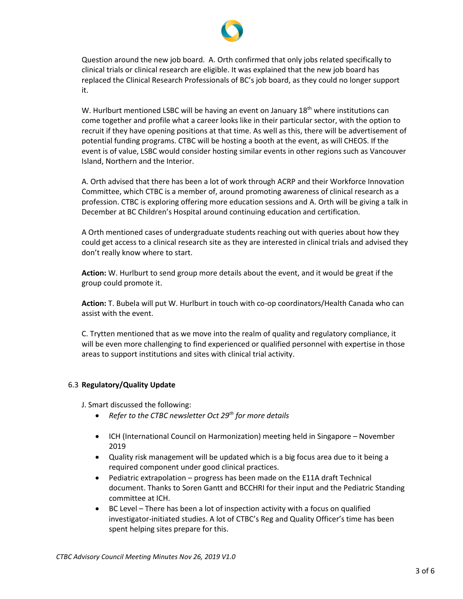

Question around the new job board. A. Orth confirmed that only jobs related specifically to clinical trials or clinical research are eligible. It was explained that the new job board has replaced the Clinical Research Professionals of BC's job board, as they could no longer support it.

W. Hurlburt mentioned LSBC will be having an event on January  $18<sup>th</sup>$  where institutions can come together and profile what a career looks like in their particular sector, with the option to recruit if they have opening positions at that time. As well as this, there will be advertisement of potential funding programs. CTBC will be hosting a booth at the event, as will CHEOS. If the event is of value, LSBC would consider hosting similar events in other regions such as Vancouver Island, Northern and the Interior.

A. Orth advised that there has been a lot of work through ACRP and their Workforce Innovation Committee, which CTBC is a member of, around promoting awareness of clinical research as a profession. CTBC is exploring offering more education sessions and A. Orth will be giving a talk in December at BC Children's Hospital around continuing education and certification.

A Orth mentioned cases of undergraduate students reaching out with queries about how they could get access to a clinical research site as they are interested in clinical trials and advised they don't really know where to start.

**Action:** W. Hurlburt to send group more details about the event, and it would be great if the group could promote it.

**Action:** T. Bubela will put W. Hurlburt in touch with co-op coordinators/Health Canada who can assist with the event.

C. Trytten mentioned that as we move into the realm of quality and regulatory compliance, it will be even more challenging to find experienced or qualified personnel with expertise in those areas to support institutions and sites with clinical trial activity.

# 6.3 **Regulatory/Quality Update**

J. Smart discussed the following:

- *Refer to the CTBC newsletter Oct 29th for more details*
- ICH (International Council on Harmonization) meeting held in Singapore November 2019
- Quality risk management will be updated which is a big focus area due to it being a required component under good clinical practices.
- Pediatric extrapolation progress has been made on the E11A draft Technical document. Thanks to Soren Gantt and BCCHRI for their input and the Pediatric Standing committee at ICH.
- BC Level There has been a lot of inspection activity with a focus on qualified investigator-initiated studies. A lot of CTBC's Reg and Quality Officer's time has been spent helping sites prepare for this.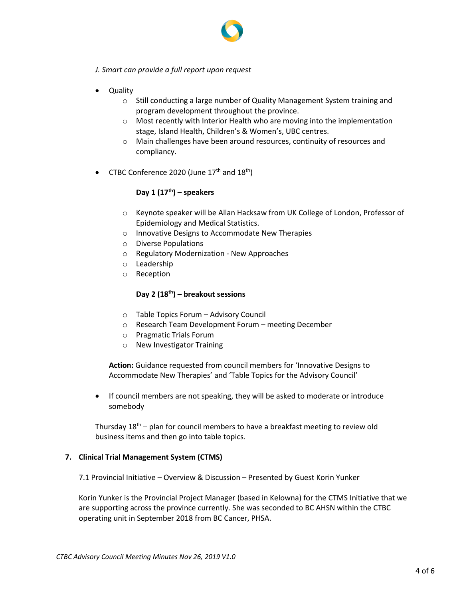

- *J. Smart can provide a full report upon request*
- Quality
	- $\circ$  Still conducting a large number of Quality Management System training and program development throughout the province.
	- o Most recently with Interior Health who are moving into the implementation stage, Island Health, Children's & Women's, UBC centres.
	- o Main challenges have been around resources, continuity of resources and compliancy.
- CTBC Conference 2020 (June  $17<sup>th</sup>$  and  $18<sup>th</sup>$ )

# **Day 1 (17th) – speakers**

- o Keynote speaker will be Allan Hacksaw from UK College of London, Professor of Epidemiology and Medical Statistics.
- o Innovative Designs to Accommodate New Therapies
- o Diverse Populations
- o Regulatory Modernization New Approaches
- o Leadership
- o Reception

# **Day 2 (18th) – breakout sessions**

- o Table Topics Forum Advisory Council
- o Research Team Development Forum meeting December
- o Pragmatic Trials Forum
- o New Investigator Training

**Action:** Guidance requested from council members for 'Innovative Designs to Accommodate New Therapies' and 'Table Topics for the Advisory Council'

• If council members are not speaking, they will be asked to moderate or introduce somebody

Thursday  $18<sup>th</sup>$  – plan for council members to have a breakfast meeting to review old business items and then go into table topics.

### **7. Clinical Trial Management System (CTMS)**

7.1 Provincial Initiative – Overview & Discussion – Presented by Guest Korin Yunker

Korin Yunker is the Provincial Project Manager (based in Kelowna) for the CTMS Initiative that we are supporting across the province currently. She was seconded to BC AHSN within the CTBC operating unit in September 2018 from BC Cancer, PHSA.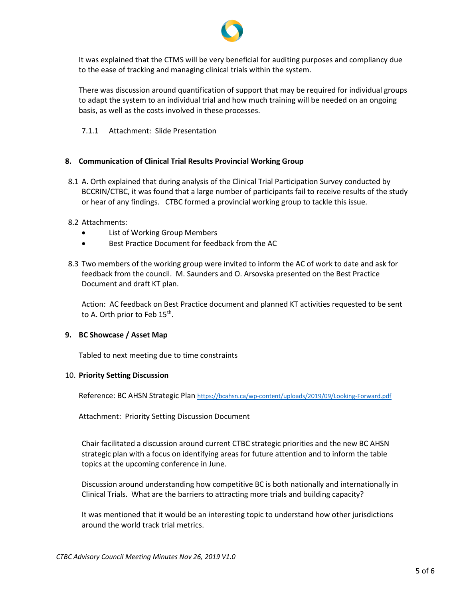

It was explained that the CTMS will be very beneficial for auditing purposes and compliancy due to the ease of tracking and managing clinical trials within the system.

There was discussion around quantification of support that may be required for individual groups to adapt the system to an individual trial and how much training will be needed on an ongoing basis, as well as the costs involved in these processes.

7.1.1 Attachment: Slide Presentation

# **8. Communication of Clinical Trial Results Provincial Working Group**

8.1 A. Orth explained that during analysis of the Clinical Trial Participation Survey conducted by BCCRIN/CTBC, it was found that a large number of participants fail to receive results of the study or hear of any findings. CTBC formed a provincial working group to tackle this issue.

# 8.2 Attachments:

- List of Working Group Members
- Best Practice Document for feedback from the AC
- 8.3 Two members of the working group were invited to inform the AC of work to date and ask for feedback from the council. M. Saunders and O. Arsovska presented on the Best Practice Document and draft KT plan.

Action: AC feedback on Best Practice document and planned KT activities requested to be sent to A. Orth prior to Feb 15<sup>th</sup>.

### **9. BC Showcase / Asset Map**

Tabled to next meeting due to time constraints

### 10. **Priority Setting Discussion**

Reference: BC AHSN Strategic Plan <https://bcahsn.ca/wp-content/uploads/2019/09/Looking-Forward.pdf>

Attachment: Priority Setting Discussion Document

Chair facilitated a discussion around current CTBC strategic priorities and the new BC AHSN strategic plan with a focus on identifying areas for future attention and to inform the table topics at the upcoming conference in June.

Discussion around understanding how competitive BC is both nationally and internationally in Clinical Trials. What are the barriers to attracting more trials and building capacity?

It was mentioned that it would be an interesting topic to understand how other jurisdictions around the world track trial metrics.